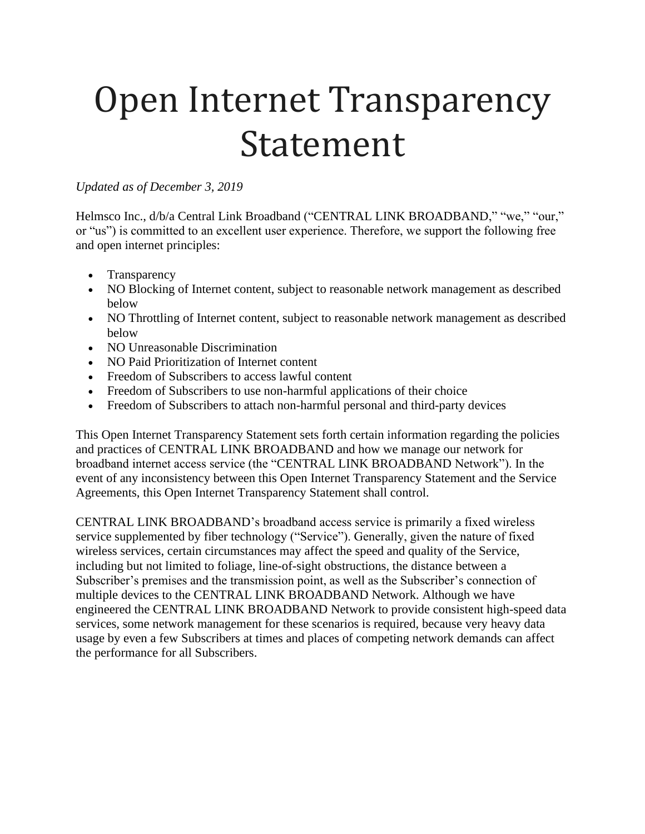# Open Internet Transparency Statement

#### *Updated as of December 3, 2019*

Helmsco Inc., d/b/a Central Link Broadband ("CENTRAL LINK BROADBAND," "we," "our," or "us") is committed to an excellent user experience. Therefore, we support the following free and open internet principles:

- Transparency
- NO Blocking of Internet content, subject to reasonable network management as described below
- NO Throttling of Internet content, subject to reasonable network management as described below
- NO Unreasonable Discrimination
- NO Paid Prioritization of Internet content
- Freedom of Subscribers to access lawful content
- Freedom of Subscribers to use non-harmful applications of their choice
- Freedom of Subscribers to attach non-harmful personal and third-party devices

This Open Internet Transparency Statement sets forth certain information regarding the policies and practices of CENTRAL LINK BROADBAND and how we manage our network for broadband internet access service (the "CENTRAL LINK BROADBAND Network"). In the event of any inconsistency between this Open Internet Transparency Statement and the Service Agreements, this Open Internet Transparency Statement shall control.

CENTRAL LINK BROADBAND's broadband access service is primarily a fixed wireless service supplemented by fiber technology ("Service"). Generally, given the nature of fixed wireless services, certain circumstances may affect the speed and quality of the Service, including but not limited to foliage, line-of-sight obstructions, the distance between a Subscriber's premises and the transmission point, as well as the Subscriber's connection of multiple devices to the CENTRAL LINK BROADBAND Network. Although we have engineered the CENTRAL LINK BROADBAND Network to provide consistent high-speed data services, some network management for these scenarios is required, because very heavy data usage by even a few Subscribers at times and places of competing network demands can affect the performance for all Subscribers.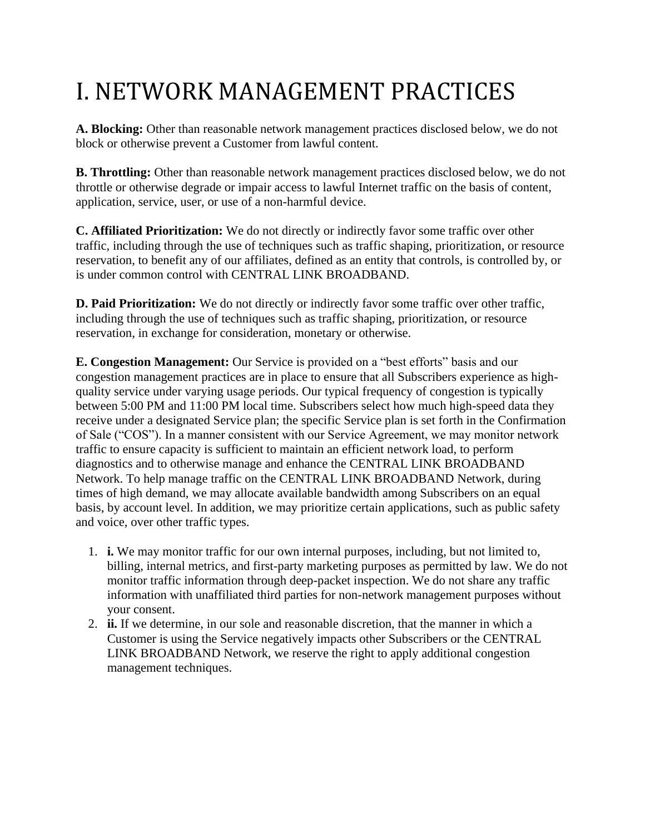## I. NETWORK MANAGEMENT PRACTICES

**A. Blocking:** Other than reasonable network management practices disclosed below, we do not block or otherwise prevent a Customer from lawful content.

**B. Throttling:** Other than reasonable network management practices disclosed below, we do not throttle or otherwise degrade or impair access to lawful Internet traffic on the basis of content, application, service, user, or use of a non-harmful device.

**C. Affiliated Prioritization:** We do not directly or indirectly favor some traffic over other traffic, including through the use of techniques such as traffic shaping, prioritization, or resource reservation, to benefit any of our affiliates, defined as an entity that controls, is controlled by, or is under common control with CENTRAL LINK BROADBAND.

**D. Paid Prioritization:** We do not directly or indirectly favor some traffic over other traffic, including through the use of techniques such as traffic shaping, prioritization, or resource reservation, in exchange for consideration, monetary or otherwise.

**E. Congestion Management:** Our Service is provided on a "best efforts" basis and our congestion management practices are in place to ensure that all Subscribers experience as highquality service under varying usage periods. Our typical frequency of congestion is typically between 5:00 PM and 11:00 PM local time. Subscribers select how much high-speed data they receive under a designated Service plan; the specific Service plan is set forth in the Confirmation of Sale ("COS"). In a manner consistent with our Service Agreement, we may monitor network traffic to ensure capacity is sufficient to maintain an efficient network load, to perform diagnostics and to otherwise manage and enhance the CENTRAL LINK BROADBAND Network. To help manage traffic on the CENTRAL LINK BROADBAND Network, during times of high demand, we may allocate available bandwidth among Subscribers on an equal basis, by account level. In addition, we may prioritize certain applications, such as public safety and voice, over other traffic types.

- 1. **i.** We may monitor traffic for our own internal purposes, including, but not limited to, billing, internal metrics, and first-party marketing purposes as permitted by law. We do not monitor traffic information through deep-packet inspection. We do not share any traffic information with unaffiliated third parties for non-network management purposes without your consent.
- 2. **ii.** If we determine, in our sole and reasonable discretion, that the manner in which a Customer is using the Service negatively impacts other Subscribers or the CENTRAL LINK BROADBAND Network, we reserve the right to apply additional congestion management techniques.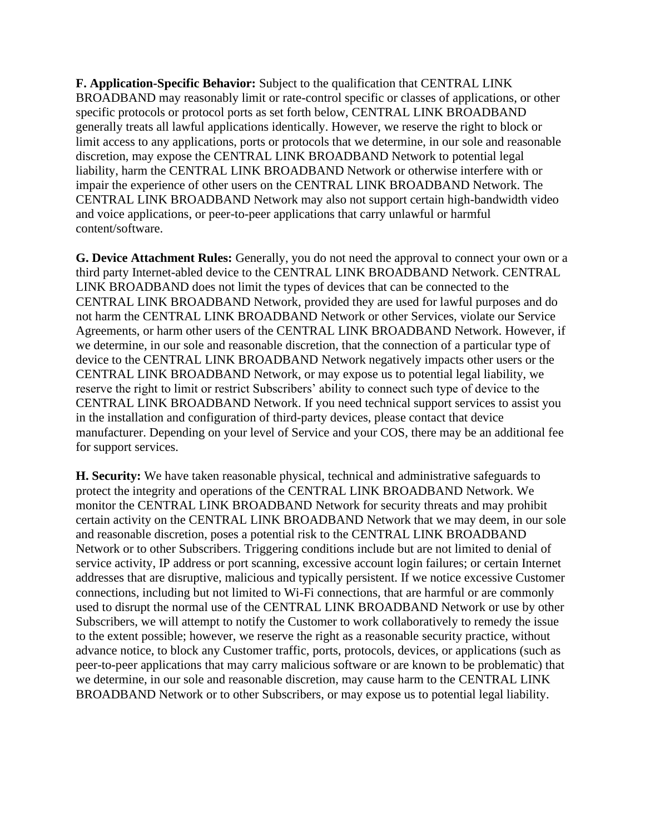**F. Application-Specific Behavior:** Subject to the qualification that CENTRAL LINK BROADBAND may reasonably limit or rate-control specific or classes of applications, or other specific protocols or protocol ports as set forth below, CENTRAL LINK BROADBAND generally treats all lawful applications identically. However, we reserve the right to block or limit access to any applications, ports or protocols that we determine, in our sole and reasonable discretion, may expose the CENTRAL LINK BROADBAND Network to potential legal liability, harm the CENTRAL LINK BROADBAND Network or otherwise interfere with or impair the experience of other users on the CENTRAL LINK BROADBAND Network. The CENTRAL LINK BROADBAND Network may also not support certain high-bandwidth video and voice applications, or peer-to-peer applications that carry unlawful or harmful content/software.

**G. Device Attachment Rules:** Generally, you do not need the approval to connect your own or a third party Internet-abled device to the CENTRAL LINK BROADBAND Network. CENTRAL LINK BROADBAND does not limit the types of devices that can be connected to the CENTRAL LINK BROADBAND Network, provided they are used for lawful purposes and do not harm the CENTRAL LINK BROADBAND Network or other Services, violate our Service Agreements, or harm other users of the CENTRAL LINK BROADBAND Network. However, if we determine, in our sole and reasonable discretion, that the connection of a particular type of device to the CENTRAL LINK BROADBAND Network negatively impacts other users or the CENTRAL LINK BROADBAND Network, or may expose us to potential legal liability, we reserve the right to limit or restrict Subscribers' ability to connect such type of device to the CENTRAL LINK BROADBAND Network. If you need technical support services to assist you in the installation and configuration of third-party devices, please contact that device manufacturer. Depending on your level of Service and your COS, there may be an additional fee for support services.

**H. Security:** We have taken reasonable physical, technical and administrative safeguards to protect the integrity and operations of the CENTRAL LINK BROADBAND Network. We monitor the CENTRAL LINK BROADBAND Network for security threats and may prohibit certain activity on the CENTRAL LINK BROADBAND Network that we may deem, in our sole and reasonable discretion, poses a potential risk to the CENTRAL LINK BROADBAND Network or to other Subscribers. Triggering conditions include but are not limited to denial of service activity, IP address or port scanning, excessive account login failures; or certain Internet addresses that are disruptive, malicious and typically persistent. If we notice excessive Customer connections, including but not limited to Wi-Fi connections, that are harmful or are commonly used to disrupt the normal use of the CENTRAL LINK BROADBAND Network or use by other Subscribers, we will attempt to notify the Customer to work collaboratively to remedy the issue to the extent possible; however, we reserve the right as a reasonable security practice, without advance notice, to block any Customer traffic, ports, protocols, devices, or applications (such as peer-to-peer applications that may carry malicious software or are known to be problematic) that we determine, in our sole and reasonable discretion, may cause harm to the CENTRAL LINK BROADBAND Network or to other Subscribers, or may expose us to potential legal liability.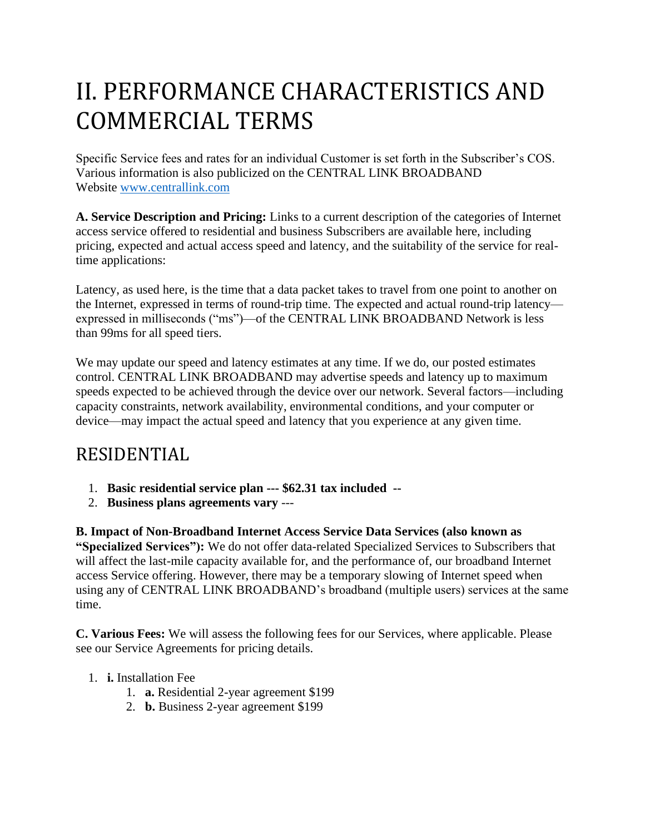### II. PERFORMANCE CHARACTERISTICS AND COMMERCIAL TERMS

Specific Service fees and rates for an individual Customer is set forth in the Subscriber's COS. Various information is also publicized on the CENTRAL LINK BROADBAND Website [www.centrallink.com](http://www.centrallink.com/)

**A. Service Description and Pricing:** Links to a current description of the categories of Internet access service offered to residential and business Subscribers are available here, including pricing, expected and actual access speed and latency, and the suitability of the service for realtime applications:

Latency, as used here, is the time that a data packet takes to travel from one point to another on the Internet, expressed in terms of round-trip time. The expected and actual round-trip latency expressed in milliseconds ("ms")—of the CENTRAL LINK BROADBAND Network is less than 99ms for all speed tiers.

We may update our speed and latency estimates at any time. If we do, our posted estimates control. CENTRAL LINK BROADBAND may advertise speeds and latency up to maximum speeds expected to be achieved through the device over our network. Several factors—including capacity constraints, network availability, environmental conditions, and your computer or device—may impact the actual speed and latency that you experience at any given time.

#### RESIDENTIAL

- 1. **Basic residential service plan --- \$62.31 tax included --**
- 2. **Business plans agreements vary** ---

**B. Impact of Non-Broadband Internet Access Service Data Services (also known as "Specialized Services"):** We do not offer data-related Specialized Services to Subscribers that will affect the last-mile capacity available for, and the performance of, our broadband Internet access Service offering. However, there may be a temporary slowing of Internet speed when using any of CENTRAL LINK BROADBAND's broadband (multiple users) services at the same time.

**C. Various Fees:** We will assess the following fees for our Services, where applicable. Please see our Service Agreements for pricing details.

- 1. **i.** Installation Fee
	- 1. **a.** Residential 2-year agreement \$199
	- 2. **b.** Business 2-year agreement \$199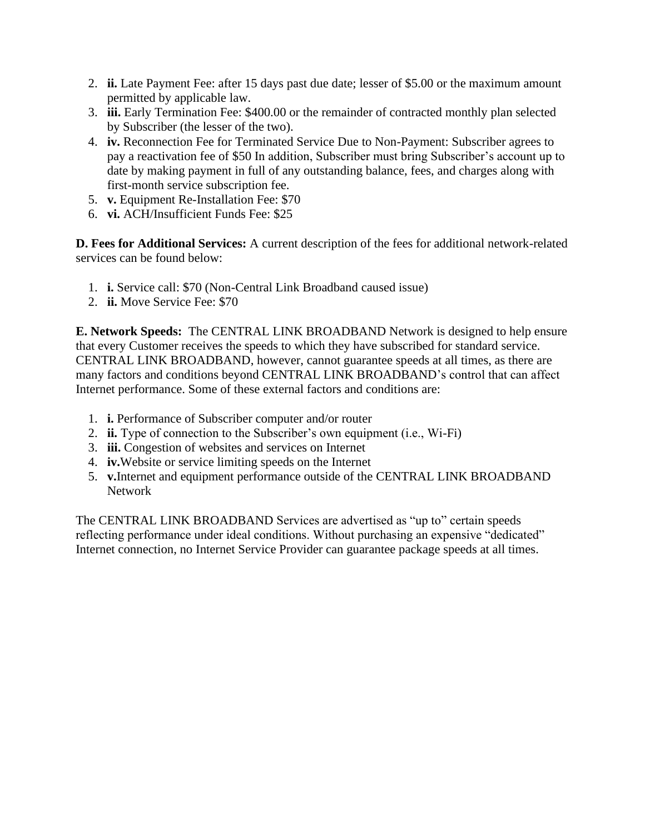- 2. **ii.** Late Payment Fee: after 15 days past due date; lesser of \$5.00 or the maximum amount permitted by applicable law.
- 3. **iii.** Early Termination Fee: \$400.00 or the remainder of contracted monthly plan selected by Subscriber (the lesser of the two).
- 4. **iv.** Reconnection Fee for Terminated Service Due to Non-Payment: Subscriber agrees to pay a reactivation fee of \$50 In addition, Subscriber must bring Subscriber's account up to date by making payment in full of any outstanding balance, fees, and charges along with first-month service subscription fee.
- 5. **v.** Equipment Re-Installation Fee: \$70
- 6. **vi.** ACH/Insufficient Funds Fee: \$25

**D. Fees for Additional Services:** A current description of the fees for additional network-related services can be found below:

- 1. **i.** Service call: \$70 (Non-Central Link Broadband caused issue)
- 2. **ii.** Move Service Fee: \$70

**E. Network Speeds:** The CENTRAL LINK BROADBAND Network is designed to help ensure that every Customer receives the speeds to which they have subscribed for standard service. CENTRAL LINK BROADBAND, however, cannot guarantee speeds at all times, as there are many factors and conditions beyond CENTRAL LINK BROADBAND's control that can affect Internet performance. Some of these external factors and conditions are:

- 1. **i.** Performance of Subscriber computer and/or router
- 2. **ii.** Type of connection to the Subscriber's own equipment (i.e., Wi-Fi)
- 3. **iii.** Congestion of websites and services on Internet
- 4. **iv.**Website or service limiting speeds on the Internet
- 5. **v.**Internet and equipment performance outside of the CENTRAL LINK BROADBAND Network

The CENTRAL LINK BROADBAND Services are advertised as "up to" certain speeds reflecting performance under ideal conditions. Without purchasing an expensive "dedicated" Internet connection, no Internet Service Provider can guarantee package speeds at all times.